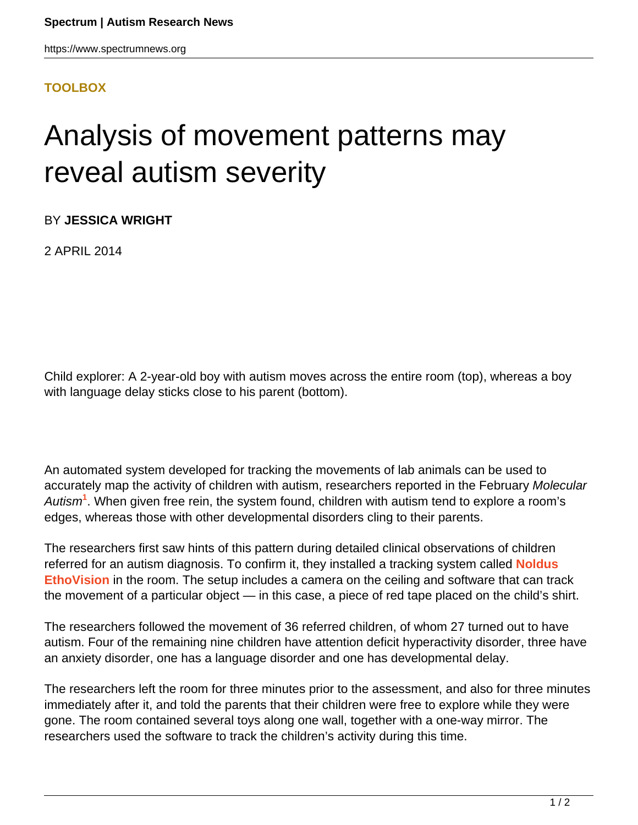## **[TOOLBOX](HTTPS://WWW.SPECTRUMNEWS.ORG/NEWS/TOOLBOX/)**

## Analysis of movement patterns may reveal autism severity

BY **JESSICA WRIGHT**

2 APRIL 2014

Child explorer: A 2-year-old boy with autism moves across the entire room (top), whereas a boy with language delay sticks close to his parent (bottom).

An automated system developed for tracking the movements of lab animals can be used to accurately map the activity of children with autism, researchers reported in the February Molecular Autism**<sup>1</sup>** . When given free rein, the system found, children with autism tend to explore a room's edges, whereas those with other developmental disorders cling to their parents.

The researchers first saw hints of this pattern during detailed clinical observations of children referred for an autism diagnosis. To confirm it, they installed a tracking system called **[Noldus](http://www.noldus.com/animal-behavior-research/products/ethovision-xt) [EthoVision](http://www.noldus.com/animal-behavior-research/products/ethovision-xt)** in the room. The setup includes a camera on the ceiling and software that can track the movement of a particular object — in this case, a piece of red tape placed on the child's shirt.

The researchers followed the movement of 36 referred children, of whom 27 turned out to have autism. Four of the remaining nine children have attention deficit hyperactivity disorder, three have an anxiety disorder, one has a language disorder and one has developmental delay.

The researchers left the room for three minutes prior to the assessment, and also for three minutes immediately after it, and told the parents that their children were free to explore while they were gone. The room contained several toys along one wall, together with a one-way mirror. The researchers used the software to track the children's activity during this time.